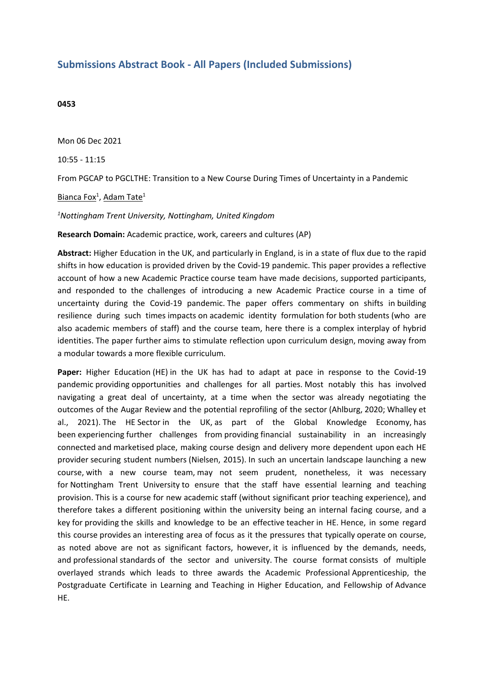## **Submissions Abstract Book - All Papers (Included Submissions)**

## **0453**

Mon 06 Dec 2021

10:55 - 11:15

From PGCAP to PGCLTHE: Transition to <sup>a</sup> New Course During Times of Uncertainty in <sup>a</sup> Pandemic

Bianca Fox $^1$ , Adam Tate $^1$ 

## *1 Nottingham Trent University, Nottingham, United Kingdom*

**Research Domain:** Academic practice, work, careers and cultures (AP)

**Abstract:** Higher Education in the UK, and particularly in England, is in <sup>a</sup> state of flux due to the rapid shifts in how education is provided driven by the Covid-19 pandemic. This paper provides a reflective account of how a new Academic Practice course team have made decisions, supported participants, and responded to the challenges of introducing <sup>a</sup> new Academic Practice course in <sup>a</sup> time of uncertainty during the Covid-19 pandemic. The paper offers commentary on shifts in building resilience during such times impacts on academic identity formulation for both students (who are also academic members of staff) and the course team, here there is <sup>a</sup> complex interplay of hybrid identities. The paper further aims to stimulate reflection upon curriculum design, moving away from <sup>a</sup> modular towards <sup>a</sup> more flexible curriculum.

**Paper:** Higher Education (HE) in the UK has had to adapt at pace in response to the Covid-19 pandemic providing opportunities and challenges for all parties. Most notably this has involved navigating <sup>a</sup> great deal of uncertainty, at <sup>a</sup> time when the sector was already negotiating the outcomes of the Augar Review and the potential reprofiling of the sector (Ahlburg, 2020; Whalley et al., 2021). The HE Sector in the UK, as part of the Global Knowledge Economy, has been experiencing further challenges from providing financial sustainability in an increasingly connected and marketised place, making course design and delivery more dependent upon each HE provider securing student numbers (Nielsen, 2015). In such an uncertain landscape launching <sup>a</sup> new course, with <sup>a</sup> new course team, may not seem prudent, nonetheless, it was necessary for Nottingham Trent University to ensure that the staff have essential learning and teaching provision. This is <sup>a</sup> course for new academic staff (without significant prior teaching experience), and therefore takes <sup>a</sup> different positioning within the university being an internal facing course, and <sup>a</sup> key for providing the skills and knowledge to be an effective teacher in HE. Hence, in some regard this course provides an interesting area of focus as it the pressures that typically operate on course, as noted above are not as significant factors, however, it is influenced by the demands, needs, and professional standards of the sector and university. The course format consists of multiple overlayed strands which leads to three awards the Academic Professional Apprenticeship, the Postgraduate Certificate in Learning and Teaching in Higher Education, and Fellowship of Advance HE.